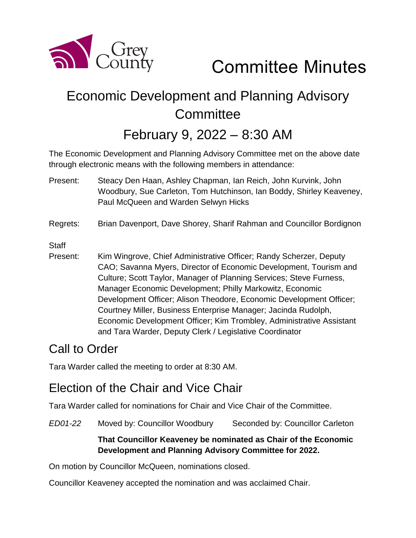

Committee Minutes

# Economic Development and Planning Advisory **Committee**

## February 9, 2022 – 8:30 AM

The Economic Development and Planning Advisory Committee met on the above date through electronic means with the following members in attendance:

- Present: Steacy Den Haan, Ashley Chapman, Ian Reich, John Kurvink, John Woodbury, Sue Carleton, Tom Hutchinson, Ian Boddy, Shirley Keaveney, Paul McQueen and Warden Selwyn Hicks
- Regrets: Brian Davenport, Dave Shorey, Sharif Rahman and Councillor Bordignon

**Staff** 

Present: Kim Wingrove, Chief Administrative Officer; Randy Scherzer, Deputy CAO; Savanna Myers, Director of Economic Development, Tourism and Culture; Scott Taylor, Manager of Planning Services; Steve Furness, Manager Economic Development; Philly Markowitz, Economic Development Officer; Alison Theodore, Economic Development Officer; Courtney Miller, Business Enterprise Manager; Jacinda Rudolph, Economic Development Officer; Kim Trombley, Administrative Assistant and Tara Warder, Deputy Clerk / Legislative Coordinator

### Call to Order

Tara Warder called the meeting to order at 8:30 AM.

### Election of the Chair and Vice Chair

Tara Warder called for nominations for Chair and Vice Chair of the Committee.

*ED01-22* Moved by: Councillor Woodbury Seconded by: Councillor Carleton

#### **That Councillor Keaveney be nominated as Chair of the Economic Development and Planning Advisory Committee for 2022.**

On motion by Councillor McQueen, nominations closed.

Councillor Keaveney accepted the nomination and was acclaimed Chair.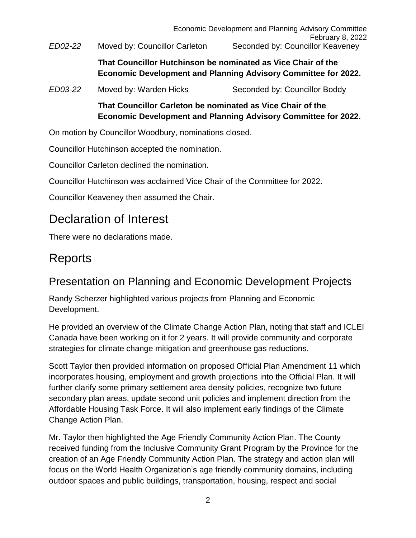Economic Development and Planning Advisory Committee February 8, 2022 *ED02-22* Moved by: Councillor Carleton Seconded by: Councillor Keaveney

> **That Councillor Hutchinson be nominated as Vice Chair of the Economic Development and Planning Advisory Committee for 2022.**

*ED03-22* Moved by: Warden Hicks Seconded by: Councillor Boddy

**That Councillor Carleton be nominated as Vice Chair of the Economic Development and Planning Advisory Committee for 2022.**

On motion by Councillor Woodbury, nominations closed.

Councillor Hutchinson accepted the nomination.

Councillor Carleton declined the nomination.

Councillor Hutchinson was acclaimed Vice Chair of the Committee for 2022.

Councillor Keaveney then assumed the Chair.

## Declaration of Interest

There were no declarations made.

## Reports

### Presentation on Planning and Economic Development Projects

Randy Scherzer highlighted various projects from Planning and Economic Development.

He provided an overview of the Climate Change Action Plan, noting that staff and ICLEI Canada have been working on it for 2 years. It will provide community and corporate strategies for climate change mitigation and greenhouse gas reductions.

Scott Taylor then provided information on proposed Official Plan Amendment 11 which incorporates housing, employment and growth projections into the Official Plan. It will further clarify some primary settlement area density policies, recognize two future secondary plan areas, update second unit policies and implement direction from the Affordable Housing Task Force. It will also implement early findings of the Climate Change Action Plan.

Mr. Taylor then highlighted the Age Friendly Community Action Plan. The County received funding from the Inclusive Community Grant Program by the Province for the creation of an Age Friendly Community Action Plan. The strategy and action plan will focus on the World Health Organization's age friendly community domains, including outdoor spaces and public buildings, transportation, housing, respect and social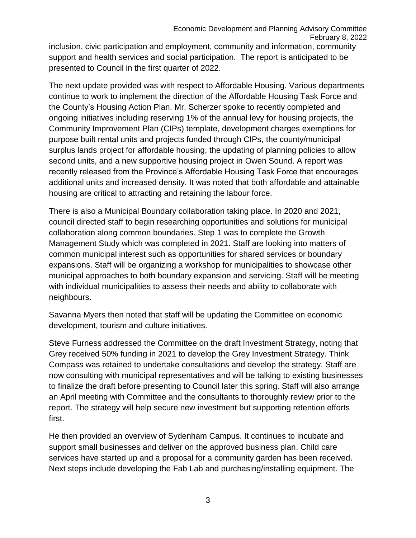Economic Development and Planning Advisory Committee February 8, 2022 inclusion, civic participation and employment, community and information, community support and health services and social participation. The report is anticipated to be presented to Council in the first quarter of 2022.

The next update provided was with respect to Affordable Housing. Various departments continue to work to implement the direction of the Affordable Housing Task Force and the County's Housing Action Plan. Mr. Scherzer spoke to recently completed and ongoing initiatives including reserving 1% of the annual levy for housing projects, the Community Improvement Plan (CIPs) template, development charges exemptions for purpose built rental units and projects funded through CIPs, the county/municipal surplus lands project for affordable housing, the updating of planning policies to allow second units, and a new supportive housing project in Owen Sound. A report was recently released from the Province's Affordable Housing Task Force that encourages additional units and increased density. It was noted that both affordable and attainable housing are critical to attracting and retaining the labour force.

There is also a Municipal Boundary collaboration taking place. In 2020 and 2021, council directed staff to begin researching opportunities and solutions for municipal collaboration along common boundaries. Step 1 was to complete the Growth Management Study which was completed in 2021. Staff are looking into matters of common municipal interest such as opportunities for shared services or boundary expansions. Staff will be organizing a workshop for municipalities to showcase other municipal approaches to both boundary expansion and servicing. Staff will be meeting with individual municipalities to assess their needs and ability to collaborate with neighbours.

Savanna Myers then noted that staff will be updating the Committee on economic development, tourism and culture initiatives.

Steve Furness addressed the Committee on the draft Investment Strategy, noting that Grey received 50% funding in 2021 to develop the Grey Investment Strategy. Think Compass was retained to undertake consultations and develop the strategy. Staff are now consulting with municipal representatives and will be talking to existing businesses to finalize the draft before presenting to Council later this spring. Staff will also arrange an April meeting with Committee and the consultants to thoroughly review prior to the report. The strategy will help secure new investment but supporting retention efforts first.

He then provided an overview of Sydenham Campus. It continues to incubate and support small businesses and deliver on the approved business plan. Child care services have started up and a proposal for a community garden has been received. Next steps include developing the Fab Lab and purchasing/installing equipment. The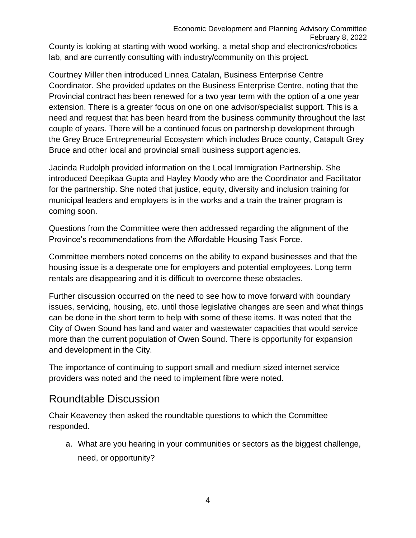Economic Development and Planning Advisory Committee February 8, 2022 County is looking at starting with wood working, a metal shop and electronics/robotics lab, and are currently consulting with industry/community on this project.

Courtney Miller then introduced Linnea Catalan, Business Enterprise Centre Coordinator. She provided updates on the Business Enterprise Centre, noting that the Provincial contract has been renewed for a two year term with the option of a one year extension. There is a greater focus on one on one advisor/specialist support. This is a need and request that has been heard from the business community throughout the last couple of years. There will be a continued focus on partnership development through the Grey Bruce Entrepreneurial Ecosystem which includes Bruce county, Catapult Grey Bruce and other local and provincial small business support agencies.

Jacinda Rudolph provided information on the Local Immigration Partnership. She introduced Deepikaa Gupta and Hayley Moody who are the Coordinator and Facilitator for the partnership. She noted that justice, equity, diversity and inclusion training for municipal leaders and employers is in the works and a train the trainer program is coming soon.

Questions from the Committee were then addressed regarding the alignment of the Province's recommendations from the Affordable Housing Task Force.

Committee members noted concerns on the ability to expand businesses and that the housing issue is a desperate one for employers and potential employees. Long term rentals are disappearing and it is difficult to overcome these obstacles.

Further discussion occurred on the need to see how to move forward with boundary issues, servicing, housing, etc. until those legislative changes are seen and what things can be done in the short term to help with some of these items. It was noted that the City of Owen Sound has land and water and wastewater capacities that would service more than the current population of Owen Sound. There is opportunity for expansion and development in the City.

The importance of continuing to support small and medium sized internet service providers was noted and the need to implement fibre were noted.

### Roundtable Discussion

Chair Keaveney then asked the roundtable questions to which the Committee responded.

a. What are you hearing in your communities or sectors as the biggest challenge, need, or opportunity?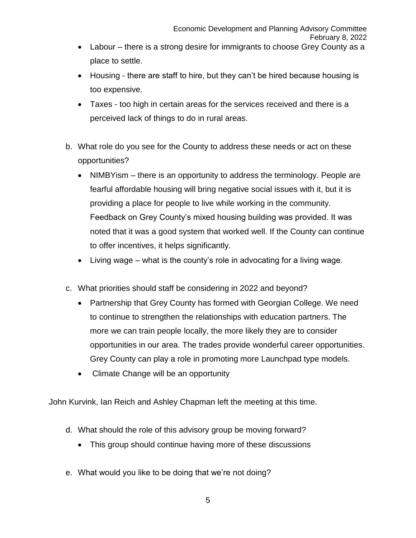- Labour there is a strong desire for immigrants to choose Grey County as a place to settle.
- Housing there are staff to hire, but they can't be hired because housing is too expensive.
- Taxes too high in certain areas for the services received and there is a perceived lack of things to do in rural areas.
- b. What role do you see for the County to address these needs or act on these opportunities?
	- NIMBYism there is an opportunity to address the terminology. People are fearful affordable housing will bring negative social issues with it, but it is providing a place for people to live while working in the community. Feedback on Grey County's mixed housing building was provided. It was noted that it was a good system that worked well. If the County can continue to offer incentives, it helps significantly.
	- Living wage what is the county's role in advocating for a living wage.
- c. What priorities should staff be considering in 2022 and beyond?
	- Partnership that Grey County has formed with Georgian College. We need to continue to strengthen the relationships with education partners. The more we can train people locally, the more likely they are to consider opportunities in our area. The trades provide wonderful career opportunities. Grey County can play a role in promoting more Launchpad type models.
	- Climate Change will be an opportunity

John Kurvink, Ian Reich and Ashley Chapman left the meeting at this time.

- d. What should the role of this advisory group be moving forward?
	- This group should continue having more of these discussions
- e. What would you like to be doing that we're not doing?